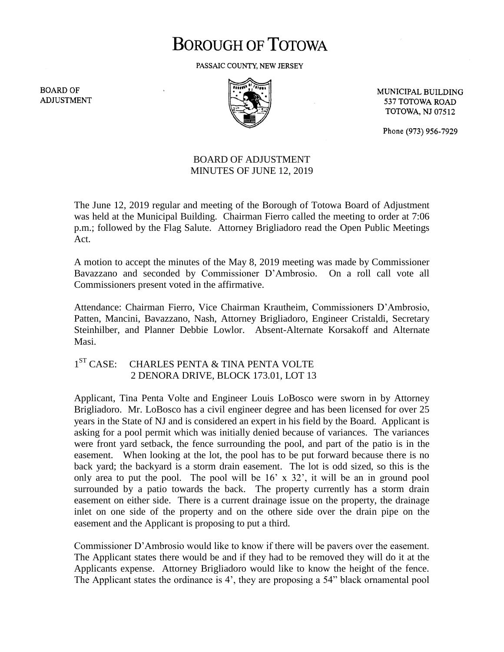# **BOROUGH OF TOTOWA**

PASSAIC COUNTY, NEW JERSEY

**BOARD OF ADJUSTMENT** 



MUNICIPAL BUILDING 537 TOTOWA ROAD **TOTOWA, NJ 07512** 

Phone (973) 956-7929

### BOARD OF ADJUSTMENT MINUTES OF JUNE 12, 2019

The June 12, 2019 regular and meeting of the Borough of Totowa Board of Adjustment was held at the Municipal Building. Chairman Fierro called the meeting to order at 7:06 p.m.; followed by the Flag Salute. Attorney Brigliadoro read the Open Public Meetings Act.

A motion to accept the minutes of the May 8, 2019 meeting was made by Commissioner Bavazzano and seconded by Commissioner D'Ambrosio. On a roll call vote all Commissioners present voted in the affirmative.

Attendance: Chairman Fierro, Vice Chairman Krautheim, Commissioners D'Ambrosio, Patten, Mancini, Bavazzano, Nash, Attorney Brigliadoro, Engineer Cristaldi, Secretary Steinhilber, and Planner Debbie Lowlor. Absent-Alternate Korsakoff and Alternate Masi.

#### $1<sup>ST</sup> CASE:$ CHARLES PENTA & TINA PENTA VOLTE 2 DENORA DRIVE, BLOCK 173.01, LOT 13

Applicant, Tina Penta Volte and Engineer Louis LoBosco were sworn in by Attorney Brigliadoro. Mr. LoBosco has a civil engineer degree and has been licensed for over 25 years in the State of NJ and is considered an expert in his field by the Board. Applicant is asking for a pool permit which was initially denied because of variances. The variances were front yard setback, the fence surrounding the pool, and part of the patio is in the easement. When looking at the lot, the pool has to be put forward because there is no back yard; the backyard is a storm drain easement. The lot is odd sized, so this is the only area to put the pool. The pool will be 16' x 32', it will be an in ground pool surrounded by a patio towards the back. The property currently has a storm drain easement on either side. There is a current drainage issue on the property, the drainage inlet on one side of the property and on the othere side over the drain pipe on the easement and the Applicant is proposing to put a third.

Commissioner D'Ambrosio would like to know if there will be pavers over the easement. The Applicant states there would be and if they had to be removed they will do it at the Applicants expense. Attorney Brigliadoro would like to know the height of the fence. The Applicant states the ordinance is 4', they are proposing a 54" black ornamental pool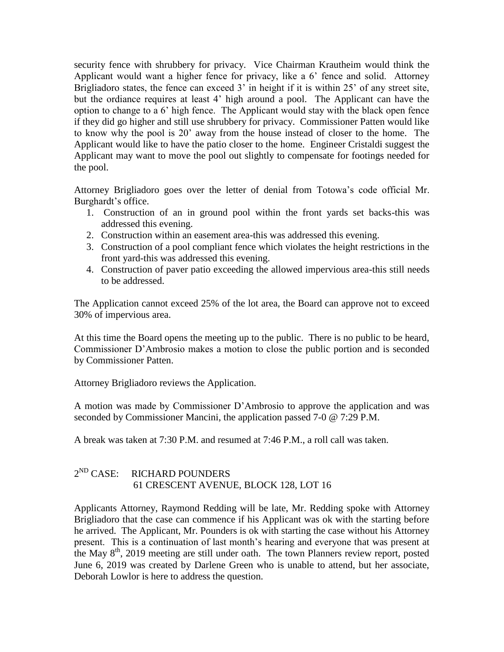security fence with shrubbery for privacy. Vice Chairman Krautheim would think the Applicant would want a higher fence for privacy, like a 6' fence and solid. Attorney Brigliadoro states, the fence can exceed 3' in height if it is within 25' of any street site, but the ordiance requires at least 4' high around a pool. The Applicant can have the option to change to a 6' high fence. The Applicant would stay with the black open fence if they did go higher and still use shrubbery for privacy. Commissioner Patten would like to know why the pool is 20' away from the house instead of closer to the home. The Applicant would like to have the patio closer to the home. Engineer Cristaldi suggest the Applicant may want to move the pool out slightly to compensate for footings needed for the pool.

Attorney Brigliadoro goes over the letter of denial from Totowa's code official Mr. Burghardt's office.

- 1. Construction of an in ground pool within the front yards set backs-this was addressed this evening.
- 2. Construction within an easement area-this was addressed this evening.
- 3. Construction of a pool compliant fence which violates the height restrictions in the front yard-this was addressed this evening.
- 4. Construction of paver patio exceeding the allowed impervious area-this still needs to be addressed.

The Application cannot exceed 25% of the lot area, the Board can approve not to exceed 30% of impervious area.

At this time the Board opens the meeting up to the public. There is no public to be heard, Commissioner D'Ambrosio makes a motion to close the public portion and is seconded by Commissioner Patten.

Attorney Brigliadoro reviews the Application.

A motion was made by Commissioner D'Ambrosio to approve the application and was seconded by Commissioner Mancini, the application passed 7-0 @ 7:29 P.M.

A break was taken at 7:30 P.M. and resumed at 7:46 P.M., a roll call was taken.

#### $2^{ND}$  CASE: RICHARD POUNDERS 61 CRESCENT AVENUE, BLOCK 128, LOT 16

Applicants Attorney, Raymond Redding will be late, Mr. Redding spoke with Attorney Brigliadoro that the case can commence if his Applicant was ok with the starting before he arrived. The Applicant, Mr. Pounders is ok with starting the case without his Attorney present. This is a continuation of last month's hearing and everyone that was present at the May  $8<sup>th</sup>$ , 2019 meeting are still under oath. The town Planners review report, posted June 6, 2019 was created by Darlene Green who is unable to attend, but her associate, Deborah Lowlor is here to address the question.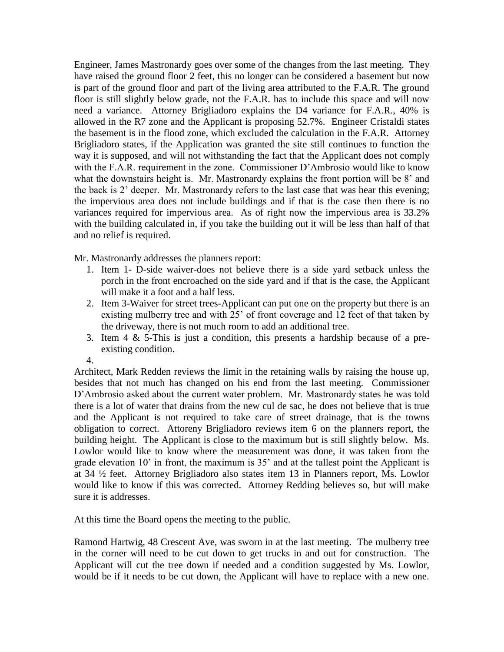Engineer, James Mastronardy goes over some of the changes from the last meeting. They have raised the ground floor 2 feet, this no longer can be considered a basement but now is part of the ground floor and part of the living area attributed to the F.A.R. The ground floor is still slightly below grade, not the F.A.R. has to include this space and will now need a variance. Attorney Brigliadoro explains the D4 variance for F.A.R., 40% is allowed in the R7 zone and the Applicant is proposing 52.7%. Engineer Cristaldi states the basement is in the flood zone, which excluded the calculation in the F.A.R. Attorney Brigliadoro states, if the Application was granted the site still continues to function the way it is supposed, and will not withstanding the fact that the Applicant does not comply with the F.A.R. requirement in the zone. Commissioner D'Ambrosio would like to know what the downstairs height is. Mr. Mastronardy explains the front portion will be 8' and the back is 2' deeper. Mr. Mastronardy refers to the last case that was hear this evening; the impervious area does not include buildings and if that is the case then there is no variances required for impervious area. As of right now the impervious area is 33.2% with the building calculated in, if you take the building out it will be less than half of that and no relief is required.

Mr. Mastronardy addresses the planners report:

- 1. Item 1- D-side waiver-does not believe there is a side yard setback unless the porch in the front encroached on the side yard and if that is the case, the Applicant will make it a foot and a half less.
- 2. Item 3-Waiver for street trees-Applicant can put one on the property but there is an existing mulberry tree and with 25' of front coverage and 12 feet of that taken by the driveway, there is not much room to add an additional tree.
- 3. Item 4 & 5-This is just a condition, this presents a hardship because of a preexisting condition.

4.

Architect, Mark Redden reviews the limit in the retaining walls by raising the house up, besides that not much has changed on his end from the last meeting. Commissioner D'Ambrosio asked about the current water problem. Mr. Mastronardy states he was told there is a lot of water that drains from the new cul de sac, he does not believe that is true and the Applicant is not required to take care of street drainage, that is the towns obligation to correct. Attoreny Brigliadoro reviews item 6 on the planners report, the building height. The Applicant is close to the maximum but is still slightly below. Ms. Lowlor would like to know where the measurement was done, it was taken from the grade elevation 10' in front, the maximum is 35' and at the tallest point the Applicant is at 34 ½ feet. Attorney Brigliadoro also states item 13 in Planners report, Ms. Lowlor would like to know if this was corrected. Attorney Redding believes so, but will make sure it is addresses.

At this time the Board opens the meeting to the public.

Ramond Hartwig, 48 Crescent Ave, was sworn in at the last meeting. The mulberry tree in the corner will need to be cut down to get trucks in and out for construction. The Applicant will cut the tree down if needed and a condition suggested by Ms. Lowlor, would be if it needs to be cut down, the Applicant will have to replace with a new one.